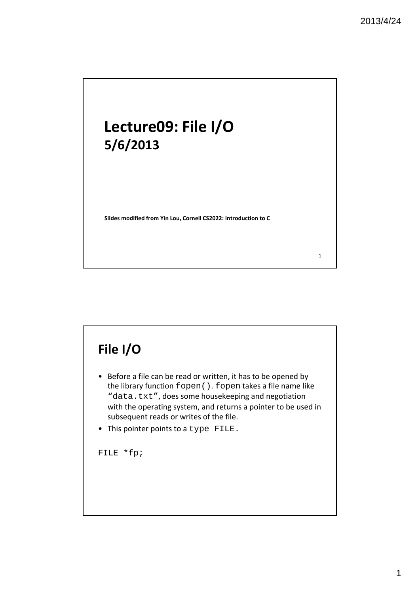1

# **Lecture09: File I/O 5/6/2013**

**Slides modified from Yin Lou, Cornell CS2022: Introduction to C**

### **File I/O**

- Before a file can be read or written, it has to be opened by the library function fopen(). fopen takes a file name like "data.txt", does some housekeeping and negotiation with the operating system, and returns a pointer to be used in subsequent reads or writes of the file.
- This pointer points to a type FILE.

FILE \*fp;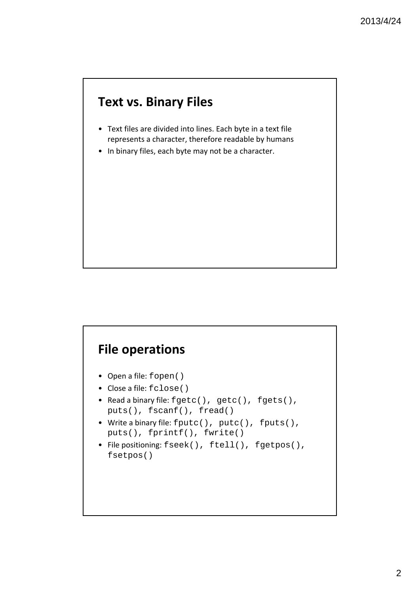#### **Text vs. Binary Files**

- Text files are divided into lines. Each byte in a text file represents a character, therefore readable by humans
- In binary files, each byte may not be a character.

#### **File operations**

- Open a file: fopen()
- Close a file: fclose()
- Read a binary file: fgetc(), getc(), fgets(), puts(), fscanf(), fread()
- Write a binary file: fputc(), putc(), fputs(), puts(), fprintf(), fwrite()
- File positioning: fseek(), ftell(), fgetpos(), fsetpos()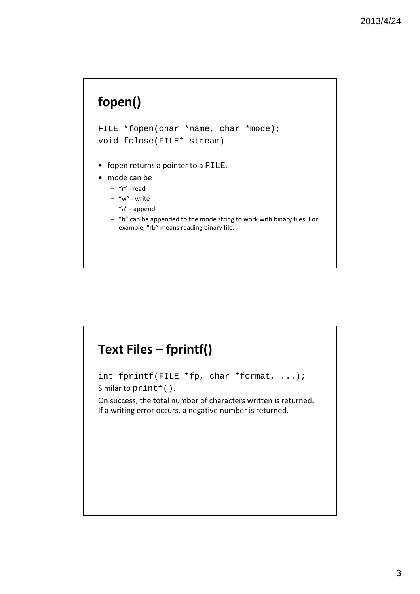## **fopen()**

FILE \*fopen(char \*name, char \*mode); void fclose(FILE\* stream)

- fopen returns a pointer to a FILE.
- mode can be
	- "r" ‐ read
	- "w" ‐ write
	- "a" ‐ append
	- "b" can be appended to the mode string to work with binary files. For example, "rb" means reading binary file.

# **Text Files – fprintf()** int fprintf(FILE \*fp, char \*format, ...); Similar to printf(). On success, the total number of characters written is returned. If a writing error occurs, a negative number is returned.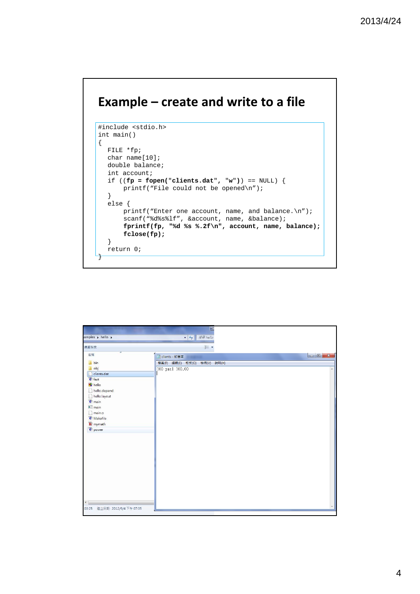#### **Example – create and write to a file**

```
#include <stdio.h>
int main()
{
  FILE *fp;
  char name[10];
  double balance;
  int account;
  if ((fp = fopen("clients.dat", "w")) == NULL) {
      printf("File could not be opened\n");
  } 
  else {
      printf("Enter one account, name, and balance.\n");
      scanf("%d%s%lf", &account, name, &balance);
      fprintf(fp, "%d %s %.2f\n", account, name, balance);
      fclose(fp);
  }
  return 0;
}
```

| amples > hello >    | 授章hello<br>$\mathbf{v}$ $\mathbf{t}$ |                                                                                                                                                                                                                                                                                                                                                                                                                                                                |
|---------------------|--------------------------------------|----------------------------------------------------------------------------------------------------------------------------------------------------------------------------------------------------------------------------------------------------------------------------------------------------------------------------------------------------------------------------------------------------------------------------------------------------------------|
| 増資料夾                | 988 -                                |                                                                                                                                                                                                                                                                                                                                                                                                                                                                |
| ×<br>名稱             | □ clients - 記事本                      | $\begin{array}{c c c c c} \hline \multicolumn{3}{c }{\textbf{a}} & \multicolumn{3}{c }{\textbf{a}} & \multicolumn{3}{c }{\textbf{a}} \\ \hline \multicolumn{3}{c }{\textbf{b}} & \multicolumn{3}{c }{\textbf{a}} & \multicolumn{3}{c }{\textbf{a}} & \multicolumn{3}{c }{\textbf{a}} \\ \hline \multicolumn{3}{c }{\textbf{b}} & \multicolumn{3}{c }{\textbf{b}} & \multicolumn{3}{c }{\textbf{a}} & \multicolumn{3}{c }{\textbf{a}} \\ \hline \multicolumn{3$ |
| <b>bin</b>          | 檔案(F) 編輯(E) 格式(O) 檢視(V) 說明(H)        |                                                                                                                                                                                                                                                                                                                                                                                                                                                                |
| <b>L</b> obj        | 100 paul 100.00                      |                                                                                                                                                                                                                                                                                                                                                                                                                                                                |
| clients.dat         |                                      |                                                                                                                                                                                                                                                                                                                                                                                                                                                                |
| $c$ fact            |                                      |                                                                                                                                                                                                                                                                                                                                                                                                                                                                |
| <b>N</b> hello      |                                      |                                                                                                                                                                                                                                                                                                                                                                                                                                                                |
| hello.depend        |                                      |                                                                                                                                                                                                                                                                                                                                                                                                                                                                |
| hello.layout        |                                      |                                                                                                                                                                                                                                                                                                                                                                                                                                                                |
| $c$ <sub>main</sub> |                                      |                                                                                                                                                                                                                                                                                                                                                                                                                                                                |
| $\blacksquare$ main |                                      |                                                                                                                                                                                                                                                                                                                                                                                                                                                                |
| main.o              |                                      |                                                                                                                                                                                                                                                                                                                                                                                                                                                                |
| <b>C</b> Makefile   |                                      |                                                                                                                                                                                                                                                                                                                                                                                                                                                                |
| h mymath            |                                      |                                                                                                                                                                                                                                                                                                                                                                                                                                                                |
| c power             |                                      |                                                                                                                                                                                                                                                                                                                                                                                                                                                                |
|                     |                                      |                                                                                                                                                                                                                                                                                                                                                                                                                                                                |
|                     |                                      |                                                                                                                                                                                                                                                                                                                                                                                                                                                                |
|                     |                                      |                                                                                                                                                                                                                                                                                                                                                                                                                                                                |
|                     |                                      |                                                                                                                                                                                                                                                                                                                                                                                                                                                                |
|                     |                                      |                                                                                                                                                                                                                                                                                                                                                                                                                                                                |
|                     |                                      |                                                                                                                                                                                                                                                                                                                                                                                                                                                                |
|                     |                                      |                                                                                                                                                                                                                                                                                                                                                                                                                                                                |
|                     |                                      |                                                                                                                                                                                                                                                                                                                                                                                                                                                                |
|                     |                                      |                                                                                                                                                                                                                                                                                                                                                                                                                                                                |
|                     |                                      |                                                                                                                                                                                                                                                                                                                                                                                                                                                                |
|                     |                                      |                                                                                                                                                                                                                                                                                                                                                                                                                                                                |
|                     |                                      |                                                                                                                                                                                                                                                                                                                                                                                                                                                                |
| $\leftarrow$        |                                      |                                                                                                                                                                                                                                                                                                                                                                                                                                                                |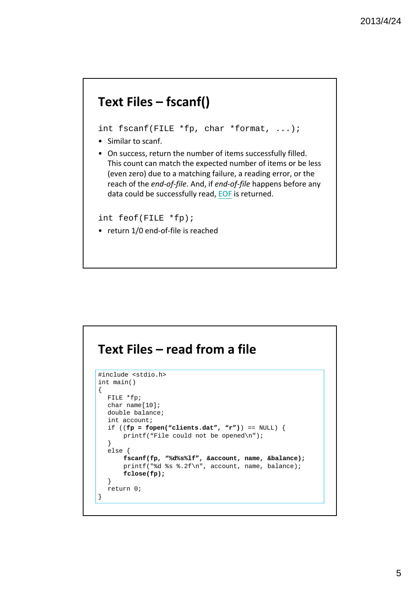#### **Text Files – fscanf()**

int fscanf(FILE \*fp, char \*format, ...);

- Similar to scanf.
- On success, return the number of items successfully filled. This count can match the expected number of items or be less (even zero) due to a matching failure, a reading error, or the reach of the *end‐of‐file*. And, if *end‐of‐file* happens before any data could be successfully read, EOF is returned.

int feof(FILE \*fp);

• return 1/0 end-of-file is reached

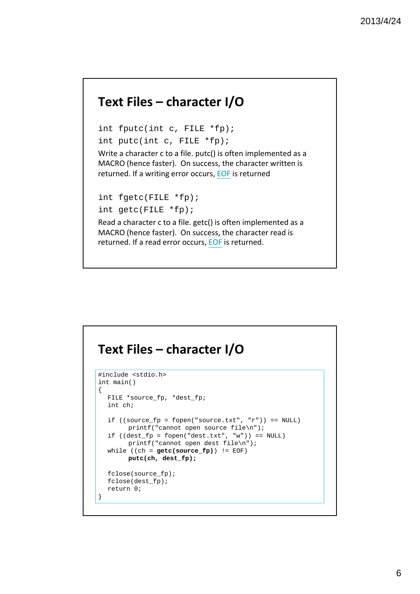#### **Text Files – character I/O**

int fputc(int c, FILE \*fp); int putc(int c, FILE \*fp);

Write a character c to a file. putc() is often implemented as a MACRO (hence faster). On success, the character written is returned. If a writing error occurs, EOF is returned

```
int fgetc(FILE *fp);
```

```
int getc(FILE *fp);
```
Read a character c to a file. getc() is often implemented as a MACRO (hence faster). On success, the character read is returned. If a read error occurs, EOF is returned.

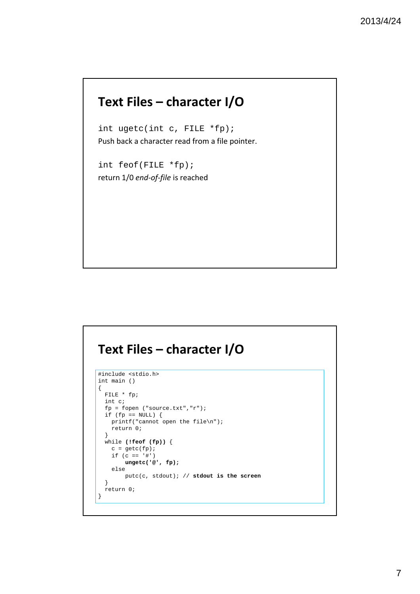#### **Text Files – character I/O**

int ugetc(int c, FILE \*fp); Push back a character read from a file pointer.

int feof(FILE \*fp); return 1/0 *end‐of‐file* is reached

#### **Text Files – character I/O**

```
#include <stdio.h>
int main ()
{
 FILE * fp;
 int c;
 fp = fopen ("source.txt","r");
 if (fp == NULL) {
   printf("cannot open the file\n");
   return 0;
 }
 while (!feof (fp)) {
   c = getc(fp);if (c == '#')ungetc('@', fp);
   else
      putc(c, stdout); // stdout is the screen
 }
 return 0;
}
```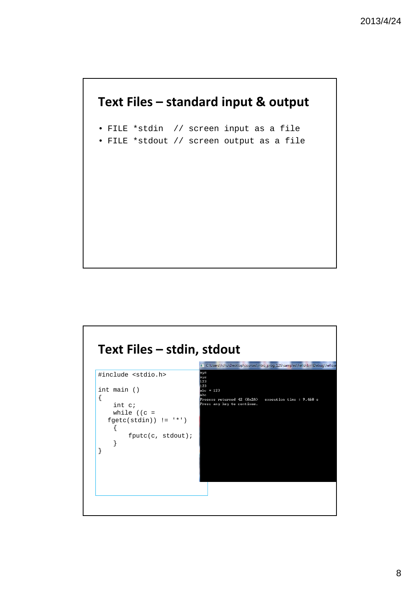#### **Text Files – standard input & output**

- FILE \*stdin // screen input as a file
- FILE \*stdout // screen output as a file

#### **Text Files – stdin, stdout** T C:\Users\hchu\Desktop\courses\intro\_prog\_12S\samples\hello\bin\Debug\hello.e #include <stdio.h> xyz xyz<br>xyz<br>123<br>123<br>abc \* 123<br>abc int main () { and<br>Process returned 42 (0x2A) execution time : 9.460 s<br>Press any key to continue. int c; while ((c =  $fgetc(stdin)$ ) !=  $'$ \*') { fputc(c, stdout); } }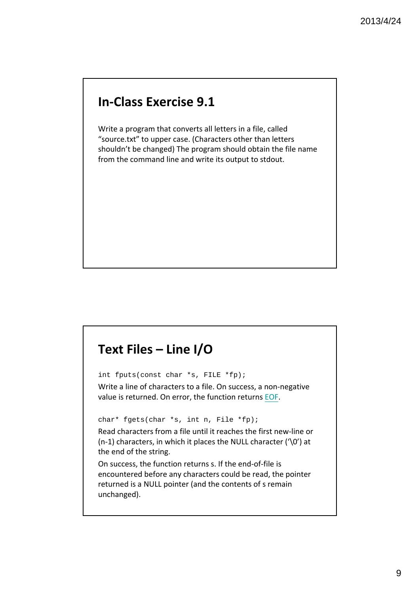#### **In‐Class Exercise 9.1**

Write a program that converts all letters in a file, called "source.txt" to upper case. (Characters other than letters shouldn't be changed) The program should obtain the file name from the command line and write its output to stdout.

#### **Text Files – Line I/O**

int fputs(const char \*s, FILE \*fp);

Write a line of characters to a file. On success, a non‐negative value is returned. On error, the function returns EOF.

char\* fgets(char \*s, int n, File \*fp);

Read characters from a file until it reaches the first new‐line or  $(n-1)$  characters, in which it places the NULL character ( $\sqrt{0'}$ ) at the end of the string.

On success, the function returns s. If the end‐of‐file is encountered before any characters could be read, the pointer returned is a NULL pointer (and the contents of s remain unchanged).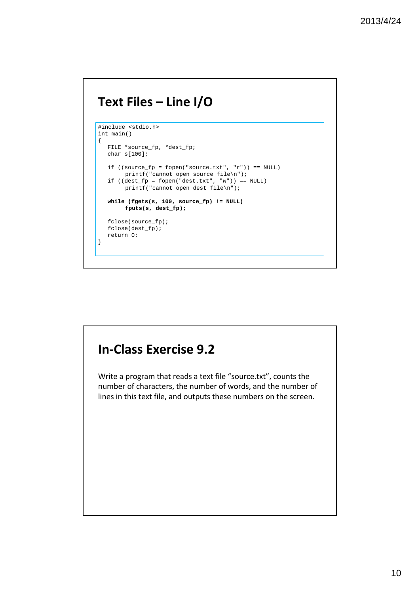#### **Text Files – Line I/O**

```
#include <stdio.h>
int main()
{
  FILE *source_fp, *dest_fp;
  char s[100];
  if ((source_fp = fopen("source.txt", "r")) == NULL)printf("cannot open source file\n");
  if ((\text{dest\_fp = fopen("dest.txt", "w")) == NULL})printf("cannot open dest file\n");
  while (fgets(s, 100, source_fp) != NULL)
        fputs(s, dest_fp);
  fclose(source_fp);
  fclose(dest_fp);
  return 0;
}
```
# **In‐Class Exercise 9.2** Write a program that reads a text file "source.txt", counts the number of characters, the number of words, and the number of lines in this text file, and outputs these numbers on the screen.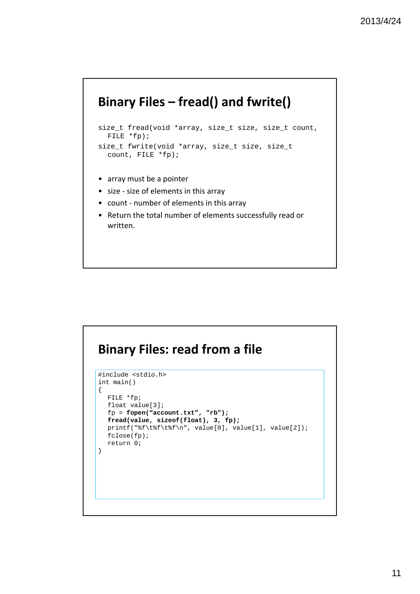#### **Binary Files – fread() and fwrite()**

```
size_t fread(void *array, size_t size, size_t count, 
  FILE *fp);
size_t fwrite(void *array, size_t size, size_t
```

```
• array must be a pointer
```
count, FILE \*fp);

- size ‐ size of elements in this array
- count ‐ number of elements in this array
- Return the total number of elements successfully read or written.

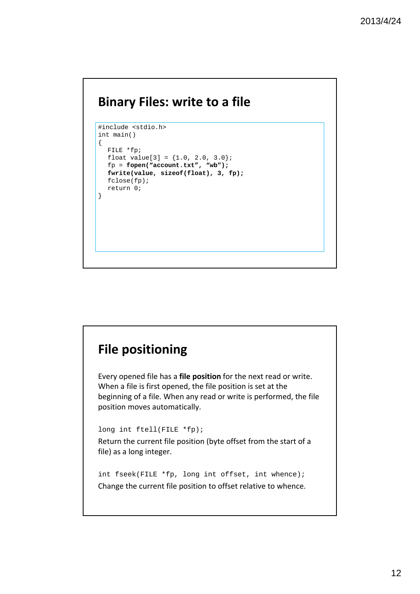#### **Binary Files: write to a file**

```
#include <stdio.h>
int main()
\{FILE *fp;
  float value[3] = \{1.0, 2.0, 3.0\};
  fp = fopen("account.txt", "wb");
  fwrite(value, sizeof(float), 3, fp);
  fclose(fp);
  return 0;
}
```
# **File positioning** Every opened file has a **file position** for the next read or write. When a file is first opened, the file position is set at the beginning of a file. When any read or write is performed, the file position moves automatically. long int ftell(FILE \*fp); Return the current file position (byte offset from the start of a file) as a long integer. int fseek(FILE \*fp, long int offset, int whence); Change the current file position to offset relative to whence.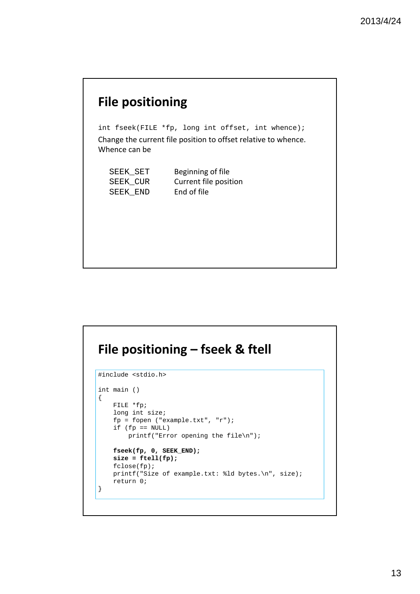#### **File positioning**

int fseek(FILE \*fp, long int offset, int whence); Change the current file position to offset relative to whence. Whence can be

SEEK\_SET Beginning of file SEEK\_CUR Current file position SEEK\_END End of file

#### **File positioning – fseek & ftell**

```
#include <stdio.h>
int main ()
{
   FILE *fp;
   long int size;
   fp = fopen ("example.txt", "r");
   if (fp == NULL)printf("Error opening the file\n");
   fseek(fp, 0, SEEK_END);
   size = ftell(fp);
   fclose(fp);
   printf("Size of example.txt: %ld bytes.\n", size);
   return 0;
}
```